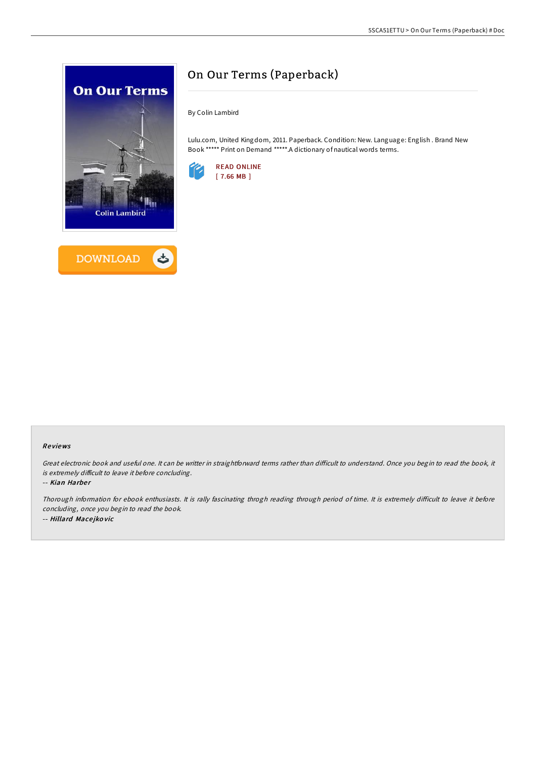



# On Our Terms (Paperback)

By Colin Lambird

Lulu.com, United Kingdom, 2011. Paperback. Condition: New. Language: English . Brand New Book \*\*\*\*\* Print on Demand \*\*\*\*\*.A dictionary of nautical words terms.



#### Re views

Great electronic book and useful one. It can be writter in straightforward terms rather than difficult to understand. Once you begin to read the book, it is extremely difficult to leave it before concluding.

-- Kian Harber

Thorough information for ebook enthusiasts. It is rally fascinating throgh reading through period of time. It is extremely difficult to leave it before concluding, once you begin to read the book. -- Hillard Mace jko vic